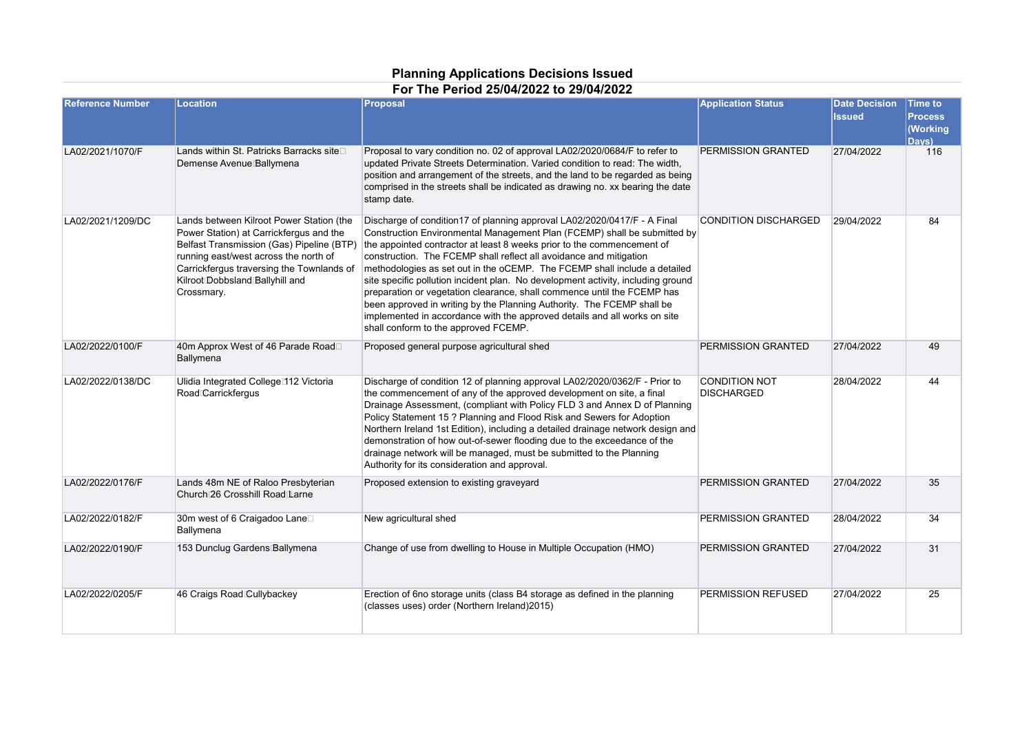## **Planning Applications Decisions Issued**

| For The Period 25/04/2022 to 29/04/2022 |  |
|-----------------------------------------|--|
|                                         |  |

| <b>Reference Number</b> | Location                                                                                                                                                                                                                                                                | Proposal                                                                                                                                                                                                                                                                                                                                                                                                                                                                                                                                                                                                                                                                                                                                        | <b>Application Status</b>                 | <b>Date Decision</b><br><b>Issued</b> | <b>Time to</b><br><b>Process</b><br><b>Working</b><br>Davs) |
|-------------------------|-------------------------------------------------------------------------------------------------------------------------------------------------------------------------------------------------------------------------------------------------------------------------|-------------------------------------------------------------------------------------------------------------------------------------------------------------------------------------------------------------------------------------------------------------------------------------------------------------------------------------------------------------------------------------------------------------------------------------------------------------------------------------------------------------------------------------------------------------------------------------------------------------------------------------------------------------------------------------------------------------------------------------------------|-------------------------------------------|---------------------------------------|-------------------------------------------------------------|
| LA02/2021/1070/F        | Lands within St. Patricks Barracks site<br>Demense Avenue Ballymena                                                                                                                                                                                                     | Proposal to vary condition no. 02 of approval LA02/2020/0684/F to refer to<br>updated Private Streets Determination. Varied condition to read: The width,<br>position and arrangement of the streets, and the land to be regarded as being<br>comprised in the streets shall be indicated as drawing no. xx bearing the date<br>stamp date.                                                                                                                                                                                                                                                                                                                                                                                                     | PERMISSION GRANTED                        | 27/04/2022                            | 116                                                         |
| LA02/2021/1209/DC       | Lands between Kilroot Power Station (the<br>Power Station) at Carrickfergus and the<br>Belfast Transmission (Gas) Pipeline (BTP)<br>running east/west across the north of<br>Carrickfergus traversing the Townlands of<br>Kilroot Dobbsland Ballyhill and<br>Crossmary. | Discharge of condition17 of planning approval LA02/2020/0417/F - A Final<br>Construction Environmental Management Plan (FCEMP) shall be submitted by<br>the appointed contractor at least 8 weeks prior to the commencement of<br>construction. The FCEMP shall reflect all avoidance and mitigation<br>methodologies as set out in the oCEMP. The FCEMP shall include a detailed<br>site specific pollution incident plan. No development activity, including ground<br>preparation or vegetation clearance, shall commence until the FCEMP has<br>been approved in writing by the Planning Authority. The FCEMP shall be<br>implemented in accordance with the approved details and all works on site<br>shall conform to the approved FCEMP. | <b>CONDITION DISCHARGED</b>               | 29/04/2022                            | 84                                                          |
| LA02/2022/0100/F        | 40m Approx West of 46 Parade Road<br>Ballymena                                                                                                                                                                                                                          | Proposed general purpose agricultural shed                                                                                                                                                                                                                                                                                                                                                                                                                                                                                                                                                                                                                                                                                                      | PERMISSION GRANTED                        | 27/04/2022                            | 49                                                          |
| LA02/2022/0138/DC       | Ulidia Integrated College <sup>112</sup> Victoria<br>Road Carrickfergus                                                                                                                                                                                                 | Discharge of condition 12 of planning approval LA02/2020/0362/F - Prior to<br>the commencement of any of the approved development on site, a final<br>Drainage Assessment, (compliant with Policy FLD 3 and Annex D of Planning<br>Policy Statement 15 ? Planning and Flood Risk and Sewers for Adoption<br>Northern Ireland 1st Edition), including a detailed drainage network design and<br>demonstration of how out-of-sewer flooding due to the exceedance of the<br>drainage network will be managed, must be submitted to the Planning<br>Authority for its consideration and approval.                                                                                                                                                  | <b>CONDITION NOT</b><br><b>DISCHARGED</b> | 28/04/2022                            | 44                                                          |
| LA02/2022/0176/F        | Lands 48m NE of Raloo Presbyterian<br>Church 26 Crosshill Road Larne                                                                                                                                                                                                    | Proposed extension to existing graveyard                                                                                                                                                                                                                                                                                                                                                                                                                                                                                                                                                                                                                                                                                                        | PERMISSION GRANTED                        | 27/04/2022                            | 35                                                          |
| LA02/2022/0182/F        | 30m west of 6 Craigadoo Lane□<br>Ballymena                                                                                                                                                                                                                              | New agricultural shed                                                                                                                                                                                                                                                                                                                                                                                                                                                                                                                                                                                                                                                                                                                           | PERMISSION GRANTED                        | 28/04/2022                            | 34                                                          |
| LA02/2022/0190/F        | 153 Dunclug Gardens Ballymena                                                                                                                                                                                                                                           | Change of use from dwelling to House in Multiple Occupation (HMO)                                                                                                                                                                                                                                                                                                                                                                                                                                                                                                                                                                                                                                                                               | PERMISSION GRANTED                        | 27/04/2022                            | 31                                                          |
| LA02/2022/0205/F        | 46 Craigs Road Cullybackey                                                                                                                                                                                                                                              | Erection of 6no storage units (class B4 storage as defined in the planning<br>(classes uses) order (Northern Ireland) 2015)                                                                                                                                                                                                                                                                                                                                                                                                                                                                                                                                                                                                                     | PERMISSION REFUSED                        | 27/04/2022                            | 25                                                          |